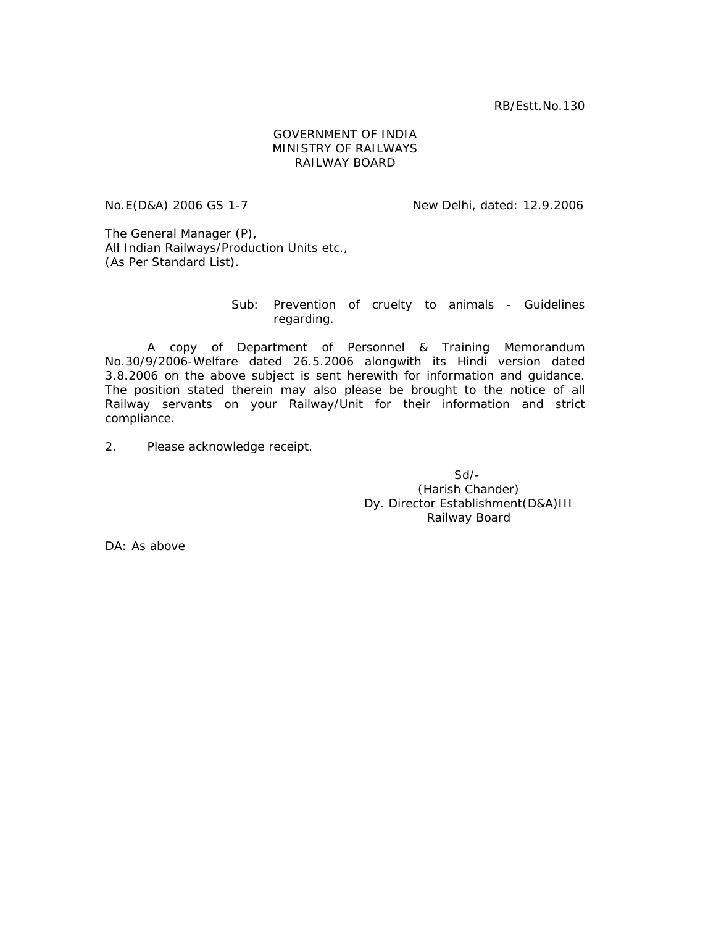RB/Estt.No.130

## GOVERNMENT OF INDIA MINISTRY OF RAILWAYS RAILWAY BOARD

No.E(D&A) 2006 GS 1-7 New Delhi, dated: 12.9.2006

The General Manager (P), All Indian Railways/Production Units etc., (As Per Standard List).

## Sub: Prevention of cruelty to animals - Guidelines regarding.

 A copy of Department of Personnel & Training Memorandum No.30/9/2006-Welfare dated 26.5.2006 alongwith its Hindi version dated 3.8.2006 on the above subject is sent herewith for information and guidance. The position stated therein may also please be brought to the notice of all Railway servants on your Railway/Unit for their information and strict compliance.

2. Please acknowledge receipt.

 $S$ d/- $S$ d/- $S$ (Harish Chander) Dy. Director Establishment(D&A)III Railway Board

DA: As above